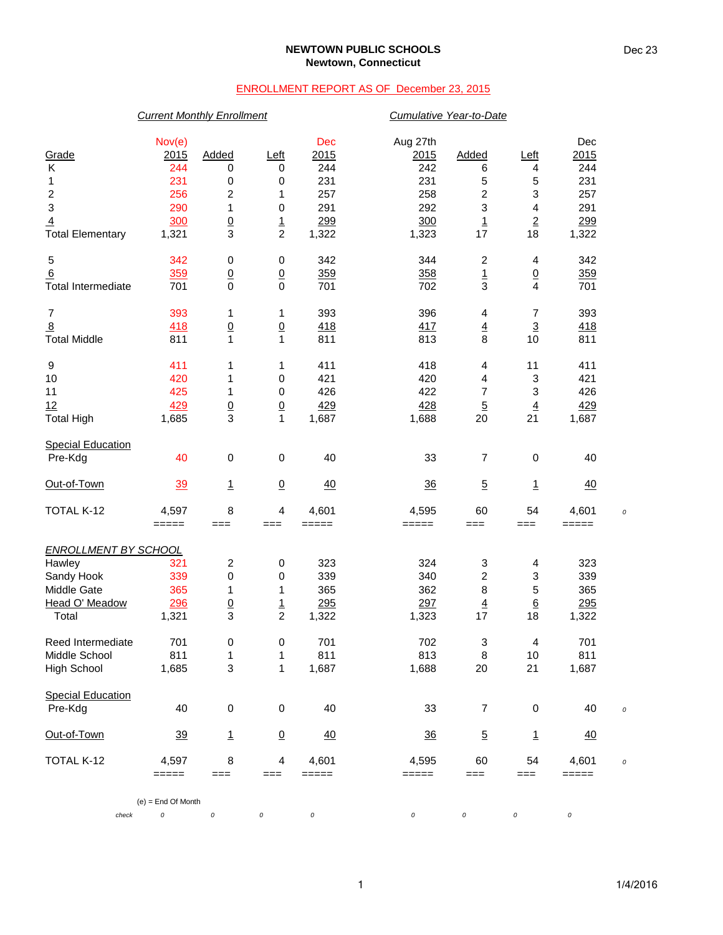### **NEWTOWN PUBLIC SCHOOLS Newtown, Connecticut**

## ENROLLMENT REPORT AS OF December 23, 2015

## *Current Monthly Enrollment Cumulative Year-to-Date*

| Grade<br>Κ<br>1<br>$\frac{2}{3}$<br>$\overline{4}$                                            | Nov(e)<br>2015<br>244<br>231<br>256<br>290<br>300 | Added<br>0<br>0<br>2<br>1<br>$\underline{0}$  | Left<br>0<br>0<br>1<br>0<br>$\frac{1}{2}$       | Dec<br>2015<br>244<br>231<br>257<br>291<br>299 | Aug 27th<br>2015<br>242<br>231<br>258<br>292<br>300 | Added<br>6<br>5<br>$\overline{\mathbf{c}}$<br>3<br>$\overline{1}$ | <u>Left</u><br>4<br>5<br>3<br>4<br>$\overline{2}$ | Dec<br>2015<br>244<br>231<br>257<br>291<br>299 |            |
|-----------------------------------------------------------------------------------------------|---------------------------------------------------|-----------------------------------------------|-------------------------------------------------|------------------------------------------------|-----------------------------------------------------|-------------------------------------------------------------------|---------------------------------------------------|------------------------------------------------|------------|
| <b>Total Elementary</b><br>5                                                                  | 1,321<br>342                                      | $\overline{3}$<br>$\pmb{0}$                   | 0                                               | 1,322<br>342                                   | 1,323<br>344                                        | 17<br>$\boldsymbol{2}$                                            | 18<br>4                                           | 1,322<br>342                                   |            |
| 6<br><b>Total Intermediate</b>                                                                | 359<br>701                                        | $\underline{0}$<br>$\pmb{0}$                  | $\underline{0}$<br>$\mathbf 0$                  | 359<br>701                                     | 358<br>702                                          | $\frac{1}{3}$                                                     | $\underline{0}$<br>$\overline{4}$                 | 359<br>701                                     |            |
| 7<br>$\overline{8}$<br><b>Total Middle</b>                                                    | 393<br>418<br>811                                 | 1<br>$\underline{0}$<br>$\mathbf{1}$          | 1<br>$\underline{0}$<br>$\mathbf{1}$            | 393<br>418<br>811                              | 396<br>417<br>813                                   | 4<br>$\frac{4}{8}$                                                | 7<br>$\overline{3}$<br>10                         | 393<br><u>418</u><br>811                       |            |
| 9<br>10<br>11<br>12<br><b>Total High</b>                                                      | 411<br>420<br>425<br>429<br>1,685                 | 1<br>1<br>1<br>$\overline{0}$<br>3            | 1<br>0<br>0<br>$\overline{0}$<br>$\mathbf{1}$   | 411<br>421<br>426<br>429<br>1,687              | 418<br>420<br>422<br>428<br>1,688                   | 4<br>4<br>$\overline{7}$<br>$\overline{5}$<br>20                  | 11<br>3<br>3<br>$\overline{4}$<br>21              | 411<br>421<br>426<br>429<br>1,687              |            |
| <b>Special Education</b><br>Pre-Kdg                                                           | 40                                                | $\mathbf 0$                                   | $\pmb{0}$                                       | 40                                             | 33                                                  | 7                                                                 | 0                                                 | 40                                             |            |
| Out-of-Town                                                                                   | $\frac{39}{2}$                                    | $\overline{1}$                                | $\overline{0}$                                  | 40                                             | 36                                                  | $\overline{5}$                                                    | $\overline{1}$                                    | 40                                             |            |
| TOTAL K-12                                                                                    | 4,597<br>=====                                    | 8<br>===                                      | 4<br>$==$                                       | 4,601<br>=====                                 | 4,595<br>=====                                      | 60<br>$==$                                                        | 54<br>$==$                                        | 4,601<br>=====                                 | $\epsilon$ |
| <b>ENROLLMENT BY SCHOOL</b><br>Hawley<br>Sandy Hook<br>Middle Gate<br>Head O' Meadow<br>Total | 321<br>339<br>365<br>296<br>1,321                 | 2<br>$\mathbf 0$<br>1<br>$\underline{0}$<br>3 | 0<br>0<br>1<br>$\overline{1}$<br>$\overline{2}$ | 323<br>339<br>365<br>295<br>1,322              | 324<br>340<br>362<br>297<br>1,323                   | 3<br>2<br>$\bf8$<br>$\overline{4}$<br>17                          | 4<br>3<br>5<br>$6\phantom{1}6$<br>18              | 323<br>339<br>365<br>295<br>1,322              |            |
| Reed Intermediate<br>Middle School<br>High School                                             | 701<br>811<br>1,685                               | 0<br>1<br>3                                   | 0<br>1<br>1                                     | 701<br>811<br>1,687                            | 702<br>813<br>1,688                                 | 3<br>8<br>20                                                      | 4<br>$10$<br>21                                   | 701<br>811<br>1,687                            |            |
| <b>Special Education</b><br>Pre-Kdg                                                           | 40                                                | $\pmb{0}$                                     | 0                                               | 40                                             | 33                                                  | 7                                                                 | 0                                                 | 40                                             | $\epsilon$ |
| Out-of-Town                                                                                   | 39                                                | $\mathbf{1}$                                  | $\overline{0}$                                  | 40                                             | $\frac{36}{5}$                                      | $\overline{5}$                                                    | <u>1</u>                                          | $\overline{40}$                                |            |
| TOTAL K-12                                                                                    | 4,597<br>=====                                    | 8<br>===                                      | 4<br>$==$                                       | 4,601<br>=====                                 | 4,595<br>=====                                      | 60<br>===                                                         | 54<br>$==$                                        | 4,601<br>=====                                 | $\epsilon$ |
|                                                                                               | $(e) =$ End Of Month                              |                                               |                                                 |                                                |                                                     |                                                                   |                                                   |                                                |            |
| check                                                                                         | $\cal O$                                          | 0                                             | 0                                               | 0                                              | 0                                                   | 0                                                                 | 0                                                 | 0                                              |            |